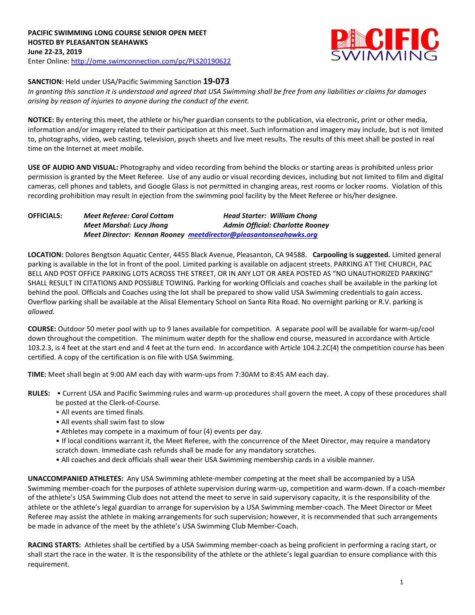

# **SANCTION:** Held under USA/Pacific Swimming Sanction **19-073**

*In granting this sanction it is understood and agreed that USA Swimming shall be free from any liabilities or claims for damages arising by reason of injuries to anyone during the conduct of the event.* 

**NOTICE:** By entering this meet, the athlete or his/her guardian consents to the publication, via electronic, print or other media, information and/or imagery related to their participation at this meet. Such information and imagery may include, but is not limited to, photographs, video, web casting, television, psych sheets and live meet results. The results of this meet shall be posted in real time on the Internet at meet mobile.

**USE OF AUDIO AND VISUAL:** Photography and video recording from behind the blocks or starting areas is prohibited unless prior permission is granted by the Meet Referee. Use of any audio or visual recording devices, including but not limited to film and digital cameras, cell phones and tablets, and Google Glass is not permitted in changing areas, rest rooms or locker rooms. Violation of this recording prohibition may result in ejection from the swimming pool facility by the Meet Referee or his/her designee.

| <b>OFFICIALS:</b> | <b>Meet Referee: Carol Cottam</b> | <b>Head Starter: William Chong</b>                               |
|-------------------|-----------------------------------|------------------------------------------------------------------|
|                   | Meet Marshal: Lucy Jhong          | <b>Admin Official: Charlotte Rooney</b>                          |
|                   |                                   | Meet Director: Kennan Rooney meetdirector@pleasantonseahawks.org |

**LOCATION:** Dolores Bengtson Aquatic Center, 4455 Black Avenue, Pleasanton, CA 94588. **Carpooling is suggested.** Limited general parking is available in the lot in front of the pool. Limited parking is available on adjacent streets. PARKING AT THE CHURCH, PAC BELL AND POST OFFICE PARKING LOTS ACROSS THE STREET, OR IN ANY LOT OR AREA POSTED AS "NO UNAUTHORIZED PARKING" SHALL RESULT IN CITATIONS AND POSSIBLE TOWING. Parking for working Officials and coaches shall be available in the parking lot behind the pool. Officials and Coaches using the lot shall be prepared to show valid USA Swimming credentials to gain access. Overflow parking shall be available at the Alisal Elementary School on Santa Rita Road. No overnight parking or R.V. parking is *allowed.*

**COURSE:** Outdoor 50 meter pool with up to 9 lanes available for competition. A separate pool will be available for warm-up/cool down throughout the competition. The minimum water depth for the shallow end course, measured in accordance with Article 103.2.3, is 4 feet at the start end and 4 feet at the turn end. In accordance with Article 104.2.2C(4) the competition course has been certified. A copy of the certification is on file with USA Swimming.

**TIME:** Meet shall begin at 9:00 AM each day with warm-ups from 7:30AM to 8:45 AM each day.

- **RULES:** Current USA and Pacific Swimming rules and warm-up procedures shall govern the meet. A copy of these procedures shall be posted at the Clerk-of-Course.
	- All events are timed finals.
	- All events shall swim fast to slow
	- Athletes may compete in a maximum of four (4) events per day.
	- If local conditions warrant it, the Meet Referee, with the concurrence of the Meet Director, may require a mandatory scratch down. Immediate cash refunds shall be made for any mandatory scratches.
	- All coaches and deck officials shall wear their USA Swimming membership cards in a visible manner.

**UNACCOMPANIED ATHLETES:** Any USA Swimming athlete-member competing at the meet shall be accompanied by a USA Swimming member-coach for the purposes of athlete supervision during warm-up, competition and warm-down. If a coach-member of the athlete's USA Swimming Club does not attend the meet to serve in said supervisory capacity, it is the responsibility of the athlete or the athlete's legal guardian to arrange for supervision by a USA Swimming member-coach. The Meet Director or Meet Referee may assist the athlete in making arrangements for such supervision; however, it is recommended that such arrangements be made in advance of the meet by the athlete's USA Swimming Club Member-Coach.

**RACING STARTS:** Athletes shall be certified by a USA Swimming member-coach as being proficient in performing a racing start, or shall start the race in the water. It is the responsibility of the athlete or the athlete's legal guardian to ensure compliance with this requirement.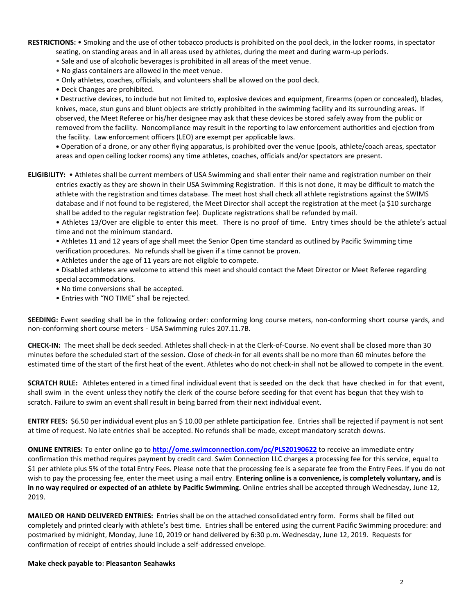**RESTRICTIONS:** • Smoking and the use of other tobacco products is prohibited on the pool deck, in the locker rooms, in spectator seating, on standing areas and in all areas used by athletes, during the meet and during warm-up periods.

- Sale and use of alcoholic beverages is prohibited in all areas of the meet venue.
- No glass containers are allowed in the meet venue.
- Only athletes, coaches, officials, and volunteers shall be allowed on the pool deck.
- Deck Changes are prohibited.

**•** Destructive devices, to include but not limited to, explosive devices and equipment, firearms (open or concealed), blades, knives, mace, stun guns and blunt objects are strictly prohibited in the swimming facility and its surrounding areas. If observed, the Meet Referee or his/her designee may ask that these devices be stored safely away from the public or removed from the facility. Noncompliance may result in the reporting to law enforcement authorities and ejection from the facility. Law enforcement officers (LEO) are exempt per applicable laws.

**•** Operation of a drone, or any other flying apparatus, is prohibited over the venue (pools, athlete/coach areas, spectator areas and open ceiling locker rooms) any time athletes, coaches, officials and/or spectators are present.

**ELIGIBILITY:** • Athletes shall be current members of USA Swimming and shall enter their name and registration number on their entries exactly as they are shown in their USA Swimming Registration. If this is not done, it may be difficult to match the athlete with the registration and times database. The meet host shall check all athlete registrations against the SWIMS database and if not found to be registered, the Meet Director shall accept the registration at the meet (a \$10 surcharge shall be added to the regular registration fee). Duplicate registrations shall be refunded by mail.

• Athletes 13/Over are eligible to enter this meet. There is no proof of time. Entry times should be the athlete's actual time and not the minimum standard.

• Athletes 11 and 12 years of age shall meet the Senior Open time standard as outlined by Pacific Swimming time verification procedures. No refunds shall be given if a time cannot be proven.

- Athletes under the age of 11 years are not eligible to compete.
- Disabled athletes are welcome to attend this meet and should contact the Meet Director or Meet Referee regarding special accommodations.
- No time conversions shall be accepted.
- Entries with "NO TIME" shall be rejected.

**SEEDING:** Event seeding shall be in the following order: conforming long course meters, non-conforming short course yards, and non-conforming short course meters - USA Swimming rules 207.11.7B.

**CHECK-IN:** The meet shall be deck seeded. Athletes shall check-in at the Clerk-of-Course. No event shall be closed more than 30 minutes before the scheduled start of the session. Close of check‐in for all events shall be no more than 60 minutes before the estimated time of the start of the first heat of the event. Athletes who do not check-in shall not be allowed to compete in the event.

**SCRATCH RULE:** Athletes entered in a timed final individual event that is seeded on the deck that have checked in for that event, shall swim in the event unless they notify the clerk of the course before seeding for that event has begun that they wish to scratch. Failure to swim an event shall result in being barred from their next individual event.

**ENTRY FEES:** \$6.50 per individual event plus an \$ 10.00 per athlete participation fee. Entries shall be rejected if payment is not sent at time of request. No late entries shall be accepted. No refunds shall be made, except mandatory scratch downs.

**ONLINE ENTRIES:** To enter online go to **<http://ome.swimconnection.com/pc/PLS20190622>** to receive an immediate entry confirmation this method requires payment by credit card. Swim Connection LLC charges a processing fee for this service, equal to \$1 per athlete plus 5% of the total Entry Fees. Please note that the processing fee is a separate fee from the Entry Fees. If you do not wish to pay the processing fee, enter the meet using a mail entry. **Entering online is a convenience, is completely voluntary, and is in no way required or expected of an athlete by Pacific Swimming.** Online entries shall be accepted through Wednesday, June 12, 2019.

**MAILED OR HAND DELIVERED ENTRIES:** Entries shall be on the attached consolidated entry form. Forms shall be filled out completely and printed clearly with athlete's best time. Entries shall be entered using the current Pacific Swimming procedure: and postmarked by midnight, Monday, June 10, 2019 or hand delivered by 6:30 p.m. Wednesday, June 12, 2019. Requests for confirmation of receipt of entries should include a self-addressed envelope.

**Make check payable to: Pleasanton Seahawks**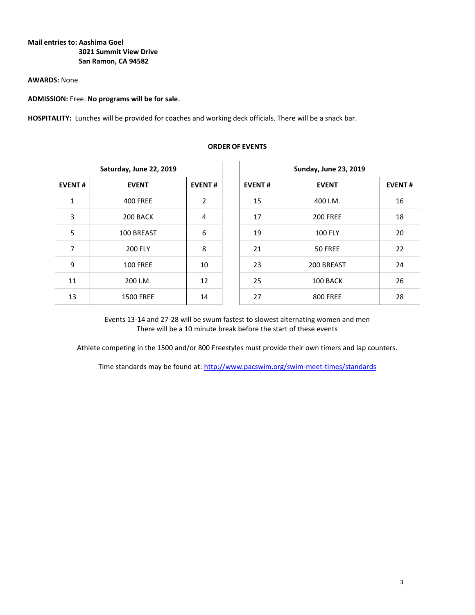## **Mail entries to: Aashima Goel 3021 Summit View Drive San Ramon, CA 94582**

#### **AWARDS:** None.

## **ADMISSION:** Free. **No programs will be for sale.**

**HOSPITALITY:** Lunches will be provided for coaches and working deck officials. There will be a snack bar.

| Saturday, June 22, 2019 |                  |                          |  |  |  |  |  |  |
|-------------------------|------------------|--------------------------|--|--|--|--|--|--|
| <b>EVENT#</b>           | <b>EVENT</b>     |                          |  |  |  |  |  |  |
| 1                       | <b>400 FREE</b>  | $\overline{\phantom{a}}$ |  |  |  |  |  |  |
| 3                       | 200 BACK         | 4                        |  |  |  |  |  |  |
| 5                       | 100 BREAST       | 6                        |  |  |  |  |  |  |
| 7                       | <b>200 FLY</b>   | 8                        |  |  |  |  |  |  |
| 9                       | <b>100 FREE</b>  | 10                       |  |  |  |  |  |  |
| 11                      | 200 I.M.         | 12                       |  |  |  |  |  |  |
| 13                      | <b>1500 FREE</b> | 14                       |  |  |  |  |  |  |

#### **ORDER OF EVENTS**

| Saturday, June 22, 2019 |                  |               |  | <b>Sunday, June 23, 2019</b> |                 |               |  |  |  |
|-------------------------|------------------|---------------|--|------------------------------|-----------------|---------------|--|--|--|
| <b>EVENT#</b>           | <b>EVENT</b>     | <b>EVENT#</b> |  | <b>EVENT#</b>                | <b>EVENT</b>    | <b>EVENT#</b> |  |  |  |
| 1                       | <b>400 FREE</b>  | 2             |  | 15                           | 400 I.M.        | 16            |  |  |  |
| 3                       | 200 BACK         | 4             |  | 17                           | <b>200 FREE</b> | 18            |  |  |  |
| 5                       | 100 BREAST       | 6             |  | 19                           | <b>100 FLY</b>  | 20            |  |  |  |
| 7                       | <b>200 FLY</b>   | 8             |  | 21                           | 50 FREE         | 22            |  |  |  |
| 9                       | <b>100 FREE</b>  | 10            |  | 23                           | 200 BREAST      | 24            |  |  |  |
| 11                      | 200 I.M.         | 12            |  | 25                           | 100 BACK        | 26            |  |  |  |
| 13                      | <b>1500 FREE</b> | 14            |  | 27                           | <b>800 FREE</b> | 28            |  |  |  |

Events 13-14 and 27-28 will be swum fastest to slowest alternating women and men There will be a 10 minute break before the start of these events

Athlete competing in the 1500 and/or 800 Freestyles must provide their own timers and lap counters.

Time standards may be found at:<http://www.pacswim.org/swim-meet-times/standards>